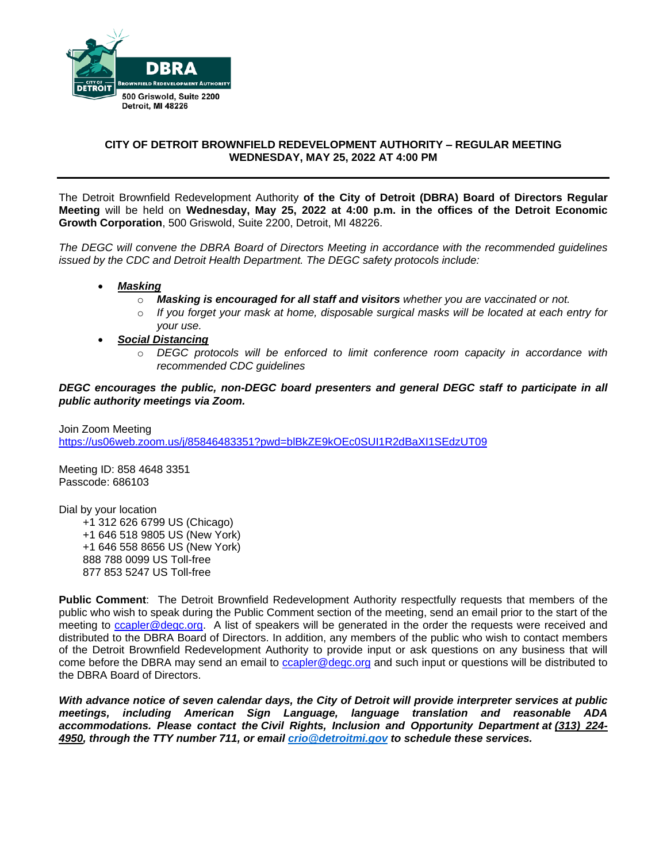

# **CITY OF DETROIT BROWNFIELD REDEVELOPMENT AUTHORITY – REGULAR MEETING WEDNESDAY, MAY 25, 2022 AT 4:00 PM**

The Detroit Brownfield Redevelopment Authority **of the City of Detroit (DBRA) Board of Directors Regular Meeting** will be held on **Wednesday, May 25, 2022 at 4:00 p.m. in the offices of the Detroit Economic Growth Corporation**, 500 Griswold, Suite 2200, Detroit, MI 48226.

*The DEGC will convene the DBRA Board of Directors Meeting in accordance with the recommended guidelines issued by the CDC and Detroit Health Department. The DEGC safety protocols include:*

- *Masking*
	- o *Masking is encouraged for all staff and visitors whether you are vaccinated or not.*
	- o *If you forget your mask at home, disposable surgical masks will be located at each entry for your use.*
- *Social Distancing* 
	- o *DEGC protocols will be enforced to limit conference room capacity in accordance with recommended CDC guidelines*

*DEGC encourages the public, non-DEGC board presenters and general DEGC staff to participate in all public authority meetings via Zoom.* 

Join Zoom Meeting <https://us06web.zoom.us/j/85846483351?pwd=blBkZE9kOEc0SUI1R2dBaXI1SEdzUT09>

Meeting ID: 858 4648 3351 Passcode: 686103

Dial by your location +1 312 626 6799 US (Chicago) +1 646 518 9805 US (New York) +1 646 558 8656 US (New York) 888 788 0099 US Toll-free 877 853 5247 US Toll-free

**Public Comment**: The Detroit Brownfield Redevelopment Authority respectfully requests that members of the public who wish to speak during the Public Comment section of the meeting, send an email prior to the start of the meeting to [ccapler@degc.org.](mailto:ccapler@degc.org) A list of speakers will be generated in the order the requests were received and distributed to the DBRA Board of Directors. In addition, any members of the public who wish to contact members of the Detroit Brownfield Redevelopment Authority to provide input or ask questions on any business that will come before the DBRA may send an email to [ccapler@degc.org](mailto:ccapler@degc.org) and such input or questions will be distributed to the DBRA Board of Directors.

*With advance notice of seven calendar days, the City of Detroit will provide interpreter services at public meetings, including American Sign Language, language translation and reasonable ADA accommodations. Please contact the Civil Rights, Inclusion and Opportunity Department at (313) 224- 4950, through the TTY number 711, or email [crio@detroitmi.gov](mailto:crio@detroitmi.gov) to schedule these services.*